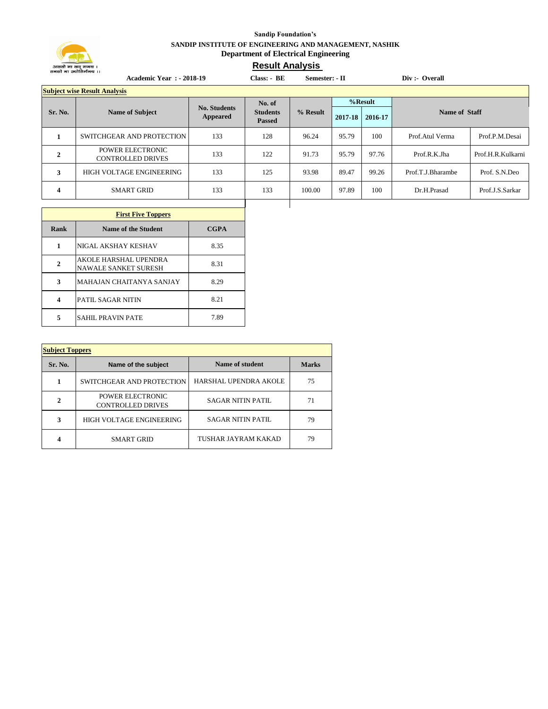

## **Sandip Foundation's SANDIP INSTITUTE OF ENGINEERING AND MANAGEMENT, NASHIK Department of Electrical Engineering**

## **Result Analysis**

| <b>Academic Year : - 2018-19</b> |                                                     |                                 | $Class: - BE$                    | Semester: - II |         | Div :- Overall |                      |                   |
|----------------------------------|-----------------------------------------------------|---------------------------------|----------------------------------|----------------|---------|----------------|----------------------|-------------------|
|                                  | <b>Subject wise Result Analysis</b>                 |                                 |                                  |                |         |                |                      |                   |
|                                  |                                                     |                                 | No. of                           |                | %Result |                |                      |                   |
| Sr. No.                          | <b>Name of Subject</b>                              | <b>No. Students</b><br>Appeared | <b>Students</b><br><b>Passed</b> | % Result       | 2017-18 | 2016-17        | <b>Name of Staff</b> |                   |
| 1                                | SWITCHGEAR AND PROTECTION                           | 133                             | 128                              | 96.24          | 95.79   | 100            | Prof.Atul Verma      | Prof.P.M.Desai    |
| $\mathbf{2}$                     | <b>POWER ELECTRONIC</b><br><b>CONTROLLED DRIVES</b> | 133                             | 122                              | 91.73          | 95.79   | 97.76          | Prof.R.K.Jha         | Prof.H.R.Kulkarni |
| 3                                | HIGH VOLTAGE ENGINEERING                            | 133                             | 125                              | 93.98          | 89.47   | 99.26          | Prof.T.J.Bharambe    | Prof. S.N.Deo     |
| 4                                | <b>SMART GRID</b>                                   | 133                             | 133                              | 100.00         | 97.89   | 100            | Dr.H.Prasad          | Prof.J.S.Sarkar   |
|                                  |                                                     |                                 |                                  |                |         |                |                      |                   |

| <b>First Five Toppers</b> |                                                      |             |  |  |
|---------------------------|------------------------------------------------------|-------------|--|--|
| Rank                      | Name of the Student                                  | <b>CGPA</b> |  |  |
| 1                         | NIGAL AKSHAY KESHAV                                  | 8.35        |  |  |
| $\mathbf{2}$              | AKOLE HARSHAL UPENDRA<br><b>NAWALE SANKET SURESH</b> | 8.31        |  |  |
| 3                         | <b>MAHAJAN CHAITANYA SANJAY</b>                      | 8.29        |  |  |
| 4                         | <b>PATIL SAGAR NITIN</b>                             | 8.21        |  |  |
| 5                         | <b>SAHIL PRAVIN PATE</b>                             | 7.89        |  |  |

| <b>Subject Toppers</b> |                                              |                          |              |  |  |  |
|------------------------|----------------------------------------------|--------------------------|--------------|--|--|--|
| Sr. No.                | Name of the subject                          | Name of student          | <b>Marks</b> |  |  |  |
| 1                      | SWITCHGEAR AND PROTECTION                    | HARSHAL UPENDRA AKOLE    | 75           |  |  |  |
| $\mathbf{2}$           | POWER ELECTRONIC<br><b>CONTROLLED DRIVES</b> | <b>SAGAR NITIN PATIL</b> | 71           |  |  |  |
| 3                      | HIGH VOLTAGE ENGINEERING                     | <b>SAGAR NITIN PATIL</b> | 79           |  |  |  |
| 4                      | <b>SMART GRID</b>                            | TUSHAR JAYRAM KAKAD      | 79           |  |  |  |